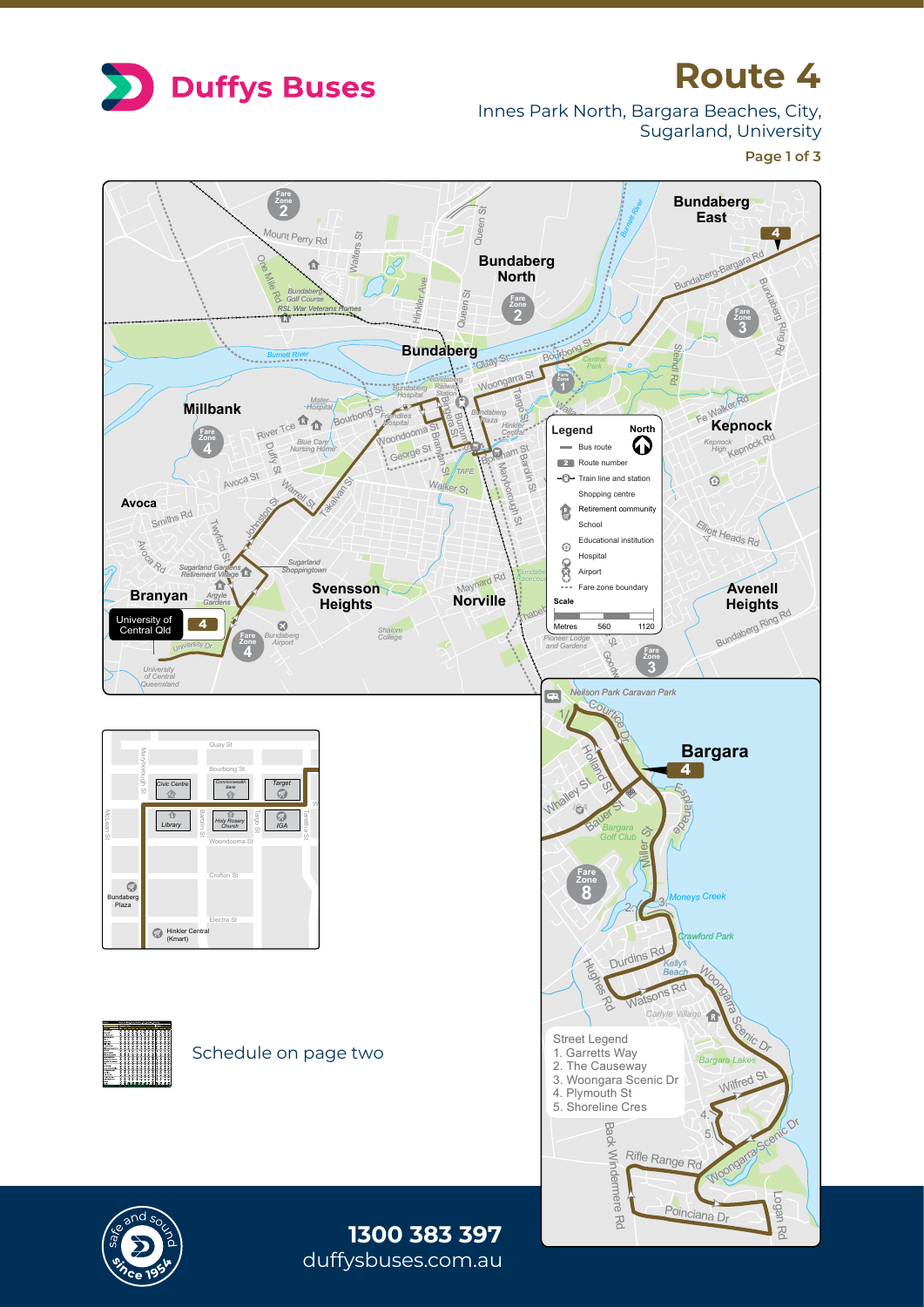

## **Route 4**

Innes Park North, Bargara Beaches, City, Sugarland, University

**Page 1 of 3**

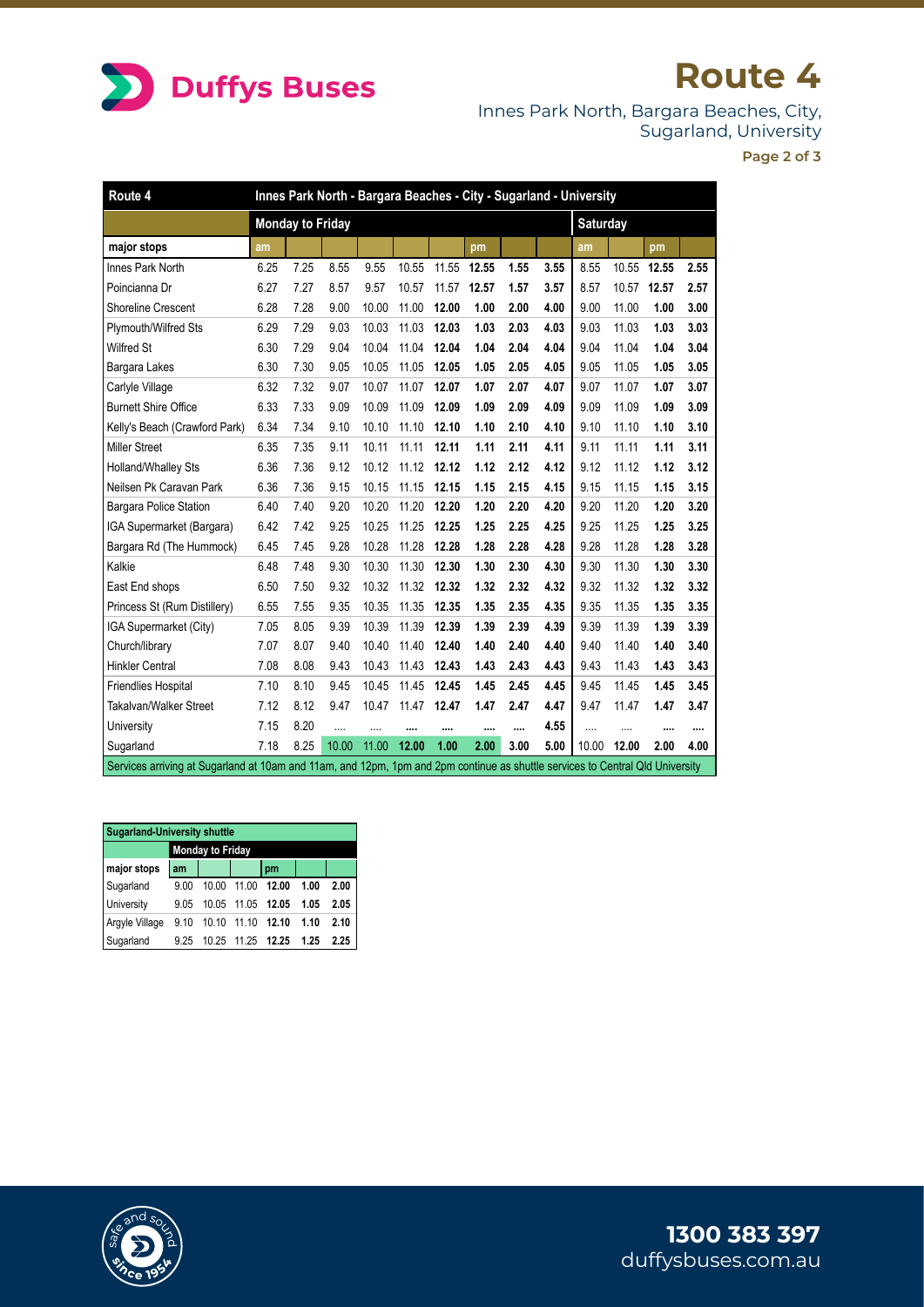

## **Route 4**

Innes Park North, Bargara Beaches, City, Sugarland, University

**Page 2 of 3**

| Route 4                                                                                                                       | Innes Park North - Bargara Beaches - City - Sugarland - University |      |           |       |          |          |       |      |      |          |       |       |      |
|-------------------------------------------------------------------------------------------------------------------------------|--------------------------------------------------------------------|------|-----------|-------|----------|----------|-------|------|------|----------|-------|-------|------|
|                                                                                                                               | <b>Monday to Friday</b>                                            |      |           |       |          |          |       |      |      | Saturday |       |       |      |
| major stops                                                                                                                   | am                                                                 |      |           |       |          |          | pm    |      |      | am       |       | pm    |      |
| Innes Park North                                                                                                              | 6.25                                                               | 7.25 | 8.55      | 9.55  | 10.55    | 11.55    | 12.55 | 1.55 | 3.55 | 8.55     | 10.55 | 12.55 | 2.55 |
| Poincianna Dr                                                                                                                 | 6.27                                                               | 7.27 | 8.57      | 9.57  | 10.57    | 11.57    | 12.57 | 1.57 | 3.57 | 8.57     | 10.57 | 12.57 | 2.57 |
| <b>Shoreline Crescent</b>                                                                                                     | 6.28                                                               | 7.28 | 9.00      | 10.00 | 11.00    | 12.00    | 1.00  | 2.00 | 4.00 | 9.00     | 11.00 | 1.00  | 3.00 |
| Plymouth/Wilfred Sts                                                                                                          | 6.29                                                               | 7.29 | 9.03      | 10.03 | 11.03    | 12.03    | 1.03  | 2.03 | 4.03 | 9.03     | 11.03 | 1.03  | 3.03 |
| Wilfred St                                                                                                                    | 6.30                                                               | 7.29 | 9.04      | 10.04 | 11.04    | 12.04    | 1.04  | 2.04 | 4.04 | 9.04     | 11.04 | 1.04  | 3.04 |
| Bargara Lakes                                                                                                                 | 6.30                                                               | 7.30 | 9.05      | 10.05 | 11.05    | 12.05    | 1.05  | 2.05 | 4.05 | 9.05     | 11.05 | 1.05  | 3.05 |
| Carlyle Village                                                                                                               | 6.32                                                               | 7.32 | 9.07      | 10.07 | 11.07    | 12.07    | 1.07  | 2.07 | 4.07 | 9.07     | 11.07 | 1.07  | 3.07 |
| <b>Burnett Shire Office</b>                                                                                                   | 6.33                                                               | 7.33 | 9.09      | 10.09 | 11.09    | 12.09    | 1.09  | 2.09 | 4.09 | 9.09     | 11.09 | 1.09  | 3.09 |
| Kelly's Beach (Crawford Park)                                                                                                 | 6.34                                                               | 7.34 | 9.10      | 10.10 | 11.10    | 12.10    | 1.10  | 2.10 | 4.10 | 9.10     | 11.10 | 1.10  | 3.10 |
| <b>Miller Street</b>                                                                                                          | 6.35                                                               | 7.35 | 9.11      | 10.11 | 11.11    | 12.11    | 1.11  | 2.11 | 4.11 | 9.11     | 11.11 | 1.11  | 3.11 |
| Holland/Whalley Sts                                                                                                           | 6.36                                                               | 7.36 | 9.12      | 10.12 | 11.12    | 12.12    | 1.12  | 2.12 | 4.12 | 9.12     | 11.12 | 1.12  | 3.12 |
| Neilsen Pk Caravan Park                                                                                                       | 6.36                                                               | 7.36 | 9.15      | 10.15 | 11.15    | 12.15    | 1.15  | 2.15 | 4.15 | 9.15     | 11.15 | 1.15  | 3.15 |
| <b>Bargara Police Station</b>                                                                                                 | 6.40                                                               | 7.40 | 9.20      | 10.20 | 11.20    | 12.20    | 1.20  | 2.20 | 4.20 | 9.20     | 11.20 | 1.20  | 3.20 |
| IGA Supermarket (Bargara)                                                                                                     | 6.42                                                               | 7.42 | 9.25      | 10.25 | 11.25    | 12.25    | 1.25  | 2.25 | 4.25 | 9.25     | 11.25 | 1.25  | 3.25 |
| Bargara Rd (The Hummock)                                                                                                      | 6.45                                                               | 7.45 | 9.28      | 10.28 | 11.28    | 12.28    | 1.28  | 2.28 | 4.28 | 9.28     | 11.28 | 1.28  | 3.28 |
| Kalkie                                                                                                                        | 6.48                                                               | 7.48 | 9.30      | 10.30 | 11.30    | 12.30    | 1.30  | 2.30 | 4.30 | 9.30     | 11.30 | 1.30  | 3.30 |
| East End shops                                                                                                                | 6.50                                                               | 7.50 | 9.32      | 10.32 | 11.32    | 12.32    | 1.32  | 2.32 | 4.32 | 9.32     | 11.32 | 1.32  | 3.32 |
| Princess St (Rum Distillery)                                                                                                  | 6.55                                                               | 7.55 | 9.35      | 10.35 | 11.35    | 12.35    | 1.35  | 2.35 | 4.35 | 9.35     | 11.35 | 1.35  | 3.35 |
| IGA Supermarket (City)                                                                                                        | 7.05                                                               | 8.05 | 9.39      | 10.39 | 11.39    | 12.39    | 1.39  | 2.39 | 4.39 | 9.39     | 11.39 | 1.39  | 3.39 |
| Church/library                                                                                                                | 7.07                                                               | 8.07 | 9.40      | 10.40 | 11.40    | 12.40    | 1.40  | 2.40 | 4.40 | 9.40     | 11.40 | 1.40  | 3.40 |
| <b>Hinkler Central</b>                                                                                                        | 7.08                                                               | 8.08 | 9.43      | 10.43 | 11.43    | 12.43    | 1.43  | 2.43 | 4.43 | 9.43     | 11.43 | 1.43  | 3.43 |
| <b>Friendlies Hospital</b>                                                                                                    | 7.10                                                               | 8.10 | 9.45      | 10.45 | 11.45    | 12.45    | 1.45  | 2.45 | 4.45 | 9.45     | 11.45 | 1.45  | 3.45 |
| <b>Takalvan/Walker Street</b>                                                                                                 | 7.12                                                               | 8.12 | 9.47      | 10.47 | 11.47    | 12.47    | 1.47  | 2.47 | 4.47 | 9.47     | 11.47 | 1.47  | 3.47 |
| University                                                                                                                    | 7.15                                                               | 8.20 | $\ddotsc$ |       | $\cdots$ | $\cdots$ |       |      | 4.55 | .        | .     |       |      |
| Sugarland                                                                                                                     | 7.18                                                               | 8.25 | 10.00     | 11.00 | 12.00    | 1.00     | 2.00  | 3.00 | 5.00 | 10.00    | 12.00 | 2.00  | 4.00 |
| Services arriving at Sugarland at 10am and 11am, and 12pm, 1pm and 2pm continue as shuttle services to Central Qld University |                                                                    |      |           |       |          |          |       |      |      |          |       |       |      |

| <b>Sugarland-University shuttle</b> |      |                         |       |       |      |      |  |  |  |  |
|-------------------------------------|------|-------------------------|-------|-------|------|------|--|--|--|--|
|                                     |      | <b>Monday to Friday</b> |       |       |      |      |  |  |  |  |
| major stops                         | am   |                         |       | pm    |      |      |  |  |  |  |
| Sugarland                           | 9.00 | 10.00                   | 11.00 | 12.00 | 1.00 | 2.00 |  |  |  |  |
| <b>University</b>                   | 9.05 | 10.05                   | 11.05 | 12.05 | 1.05 | 2.05 |  |  |  |  |
| Argyle Village                      | 910  | 10 10                   | 11.10 | 12.10 | 1.10 | 2.10 |  |  |  |  |
| Sugarland                           | 9.25 | 10.25                   | 11.25 | 12.25 | 1.25 | 2.25 |  |  |  |  |



duffysbuses.com.au **1300 383 397**